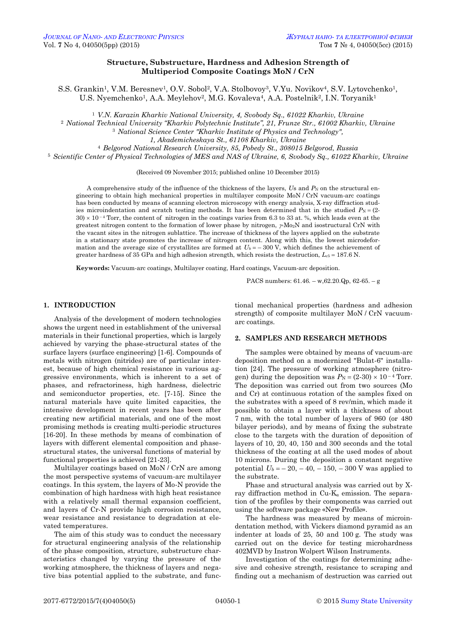# **Structure, Substructure, Hardness and Adhesion Strength of Multiperiod Composite Coatings MoN / CrN**

S.S. Grankin<sup>1</sup>, V.M. Beresnev<sup>1</sup>, O.V. Sobol<sup>2</sup>, V.A. Stolbovov<sup>3</sup>, V.Yu. Novikov<sup>4</sup>, S.V. Lytovchenko<sup>1</sup>, U.S. Nyemchenko<sup>1</sup>, A.A. Meylehov<sup>2</sup>, M.G. Kovaleva<sup>4</sup>, A.A. Postelnik<sup>2</sup>, I.N. Toryanik<sup>1</sup>

<sup>1</sup> *V.N. Karazin Kharkiv National University, 4, Svobody Sq., 61022 Kharkiv, Ukraine*

<sup>2</sup> *National Technical University "Kharkiv Polytechnic Institute", 21, Frunze Str., 61002 Kharkiv, Ukraine*

<sup>3</sup> *National Science Center "Kharkiv Institute of Physics and Technology",* 

*1, Akademicheskaya St., 61108 Kharkiv, Ukraine*

<sup>4</sup> *Belgorod National Research University, 85, Pobedy St., 308015 Belgorod, Russia*

<sup>5</sup> *Scientific Center of Physical Technologies of MES and NAS of Ukraine, 6, Svobody Sq., 61022 Kharkiv, Ukraine*

(Received 09 November 2015; published online 10 December 2015)

A comprehensive study of the influence of the thickness of the layers, *Us* and  $P_N$  on the structural engineering to obtain high mechanical properties in multilayer composite MoN / CrN vacuum-arc coatings has been conducted by means of scanning electron microscopy with energy analysis, X-ray diffraction studies microindentation and scratch testing methods. It has been determined that in the studied  $P_N = (2 30 \times 10^{-4}$  Torr, the content of nitrogen in the coatings varies from 6.3 to 33 at. %, which leads even at the greatest nitrogen content to the formation of lower phase by nitrogen,  $\gamma M_{\rm O2}N$  and isostructural CrN with the vacant sites in the nitrogen sublattice. The increase of thickness of the layers applied on the substrate in a stationary state promotes the increase of nitrogen content. Along with this, the lowest microdeformation and the average size of crystallites are formed at  $U_b = -300 \text{ V}$ , which defines the achievement of greater hardness of 35 GPa and high adhesion strength, which resists the destruction,  $L_{c5} = 187.6$  N.

**Keywords:** Vacuum-arc coatings, Multilayer coating, Hard coatings, Vacuum-arc deposition.

PACS numbers: 61.46. – w,62.20.Qp, 62-65. – g

### **1. INTRODUCTION**

Analysis of the development of modern technologies shows the urgent need in establishment of the universal materials in their functional properties, which is largely achieved by varying the phase-structural states of the surface layers (surface engineering) [1-6]. Compounds of metals with nitrogen (nitrides) are of particular interest, because of high chemical resistance in various aggressive environments, which is inherent to a set of phases, and refractoriness, high hardness, dielectric and semiconductor properties, etc. [7-15]. Since the natural materials have quite limited capacities, the intensive development in recent years has been after creating new artificial materials, and one of the most promising methods is creating multi-periodic structures [16-20]. In these methods by means of combination of layers with different elemental composition and phasestructural states, the universal functions of material by functional properties is achieved [21-23].

Multilayer coatings based on MoN / CrN are among the most perspective systems of vacuum-arc multilayer coatings. In this system, the layers of Mo-N provide the combination of high hardness with high heat resistance with a relatively small thermal expansion coefficient, and layers of Cr-N provide high corrosion resistance, wear resistance and resistance to degradation at elevated temperatures.

<span id="page-0-3"></span><span id="page-0-2"></span><span id="page-0-1"></span><span id="page-0-0"></span>The aim of this study was to conduct the necessary for structural engineering analysis of the relationship of the phase composition, structure, substructure characteristics changed by varying the pressure of the working atmosphere, the thickness of layers and negative bias potential applied to the substrate, and functional mechanical properties (hardness and adhesion strength) of composite multilayer MoN / CrN vacuumarc coatings.

# **2. SAMPLES AND RESEARCH METHODS**

The samples were obtained by means of vacuum-arc deposition method on a modernized "Bulat-6" installation [24]. The pressure of working atmosphere (nitrogen) during the deposition was  $P_N = (2-30) \times 10^{-4}$  Torr. The deposition was carried out from two sources (Mo and Cr) at continuous rotation of the samples fixed on the substrates with a speed of 8 rev/min, which made it possible to obtain a layer with a thickness of about 7 nm, with the total number of layers of 960 (or 480 bilayer periods), and by means of fixing the substrate close to the targets with the duration of deposition of layers of 10, 20, 40, 150 and 300 seconds and the total thickness of the coating at all the used modes of about 10 microns. During the deposition a constant negative potential  $U_b = -20, -40, -150, -300$  V was applied to the substrate.

Phase and structural analysis was carried out by Xray diffraction method in  $Cu-K<sub>a</sub>$  emission. The separation of the profiles by their components was carried out using the software package «New Profile».

The hardness was measured by means of microindentation method, with Vickers diamond pyramid as an indenter at loads of 25, 50 and 100 g. The study was carried out on the device for testing microhardness 402MVD by Instron Wolpert Wilson Instruments.

Investigation of the coatings for determining adhesive and cohesive strength, resistance to scraping and finding out a mechanism of destruction was carried out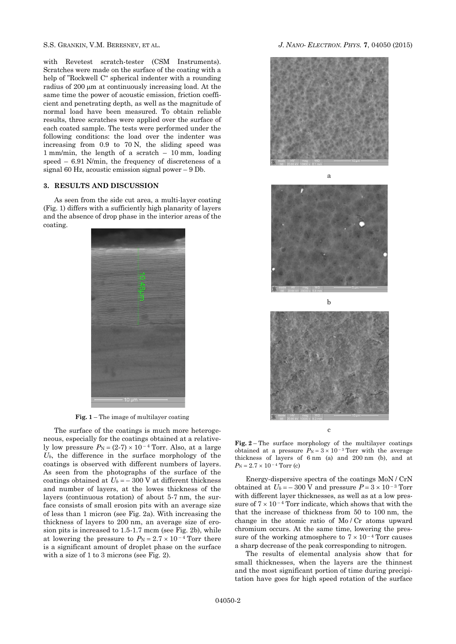with Revetest scratch-tester (CSM Instruments). Scratches were made on the surface of the coating with a help of "Rockwell C" spherical indenter with a rounding radius of 200  $\mu$ m at continuously increasing load. At the same time the power of acoustic emission, friction coefficient and penetrating depth, as well as the magnitude of normal load have been measured. To obtain reliable results, three scratches were applied over the surface of each coated sample. The tests were performed under the following conditions: the load over the indenter was increasing from 0.9 to 70 N, the sliding speed was 1 mm/min, the length of a scratch – 10 mm, loading speed – 6.91 N/min, the frequency of discreteness of a signal 60 Hz, acoustic emission signal power – 9 Db.

#### **3. RESULTS AND DISCUSSION**

As seen from the side cut area, a multi-layer coating (Fig. 1) differs with a sufficiently high planarity of layers and the absence of drop phase in the interior areas of the coating.



**Fig. 1** – The image of multilayer coating

The surface of the coatings is much more heterogeneous, especially for the coatings obtained at a relatively low pressure  $P_N = (2-7) \times 10^{-4}$  Torr. Also, at a large *Ub*, the difference in the surface morphology of the coatings is observed with different numbers of layers. As seen from the photographs of the surface of the coatings obtained at  $U_b = -300$  V at different thickness and number of layers, at the lowes thickness of the layers (continuous rotation) of about 5-7 nm, the surface consists of small erosion pits with an average size of less than 1 micron (see Fig. 2a). With increasing the thickness of layers to 200 nm, an average size of erosion pits is increased to 1.5-1.7 mcm (see Fig. 2b), while at lowering the pressure to  $P_N = 2.7 \times 10^{-4}$  Torr there is a significant amount of droplet phase on the surface with a size of 1 to 3 microns (see Fig. 2).





b

c

**Fig. 2** – The surface morphology of the multilayer coatings obtained at a pressure  $P_N = 3 \times 10^{-3}$  Torr with the average thickness of layers of 6 nm (a) and 200 nm (b), and at  $P_N = 2.7 \times 10^{-4}$  Torr (c)

Energy-dispersive spectra of the coatings MoN / CrN obtained at  $U_b = -300 \text{ V}$  and pressure  $P = 3 \times 10^{-3} \text{ Torr}$ with different layer thicknesses, as well as at a low pressure of  $7 \times 10^{-4}$  Torr indicate, which shows that with the that the increase of thickness from 50 to 100 nm, the change in the atomic ratio of Mo / Cr atoms upward chromium occurs. At the same time, lowering the pressure of the working atmosphere to  $7 \times 10^{-4}$  Torr causes a sharp decrease of the peak corresponding to nitrogen.

The results of elemental analysis show that for small thicknesses, when the layers are the thinnest and the most significant portion of time during precipitation have goes for high speed rotation of the surface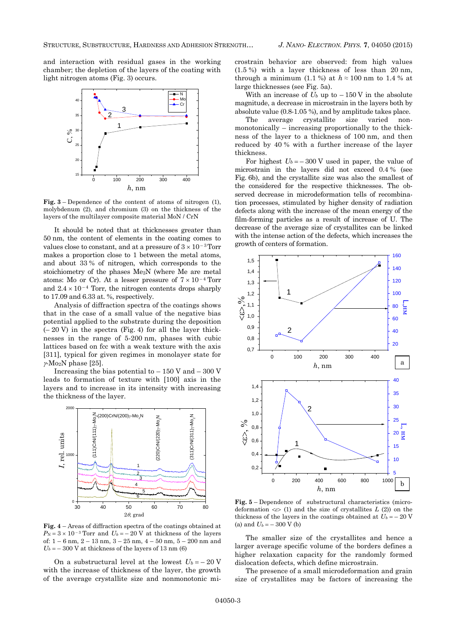and interaction with residual gases in the working chamber; the depletion of the layers of the coating with light nitrogen atoms (Fig. 3) occurs.



**Fig. 3** – Dependence of the content of atoms of nitrogen (1), molybdenum (2), and chromium (3) on the thickness of the layers of the multilayer composite material MoN / CrN

It should be noted that at thicknesses greater than 50 nm, the content of elements in the coating comes to values close to constant, and at a pressure of  $3 \times 10^{-3}$  Torr makes a proportion close to 1 between the metal atoms, and about 33 % of nitrogen, which corresponds to the stoichiometry of the phases Me2N (where Me are metal atoms: Mo or Cr). At a lesser pressure of  $7 \times 10^{-4}$  Torr and  $2.4 \times 10^{-4}$  Torr, the nitrogen contents drops sharply to 17.09 and 6.33 at. %, respectively.

Analysis of diffraction spectra of the coatings shows that in the case of a small value of the negative bias potential applied to the substrate during the deposition  $(-20 V)$  in the spectra (Fig. 4) for all the layer thicknesses in the range of 5-200 nm, phases with cubic lattices based on fcc with a weak texture with the axis [311], typical for given regimes in monolayer state for  $\gamma$ -Mo<sub>2</sub>N phase [25].

Increasing the bias potential to  $-150$  V and  $-300$  V leads to formation of texture with [100] axis in the layers and to increase in its intensity with increasing the thickness of the layer.



**Fig. 4** – Areas of diffraction spectra of the coatings obtained at  $P_N = 3 \times 10^{-3}$  Torr and  $U_b = -20$  V at thickness of the layers of: 1 – 6 nm, 2 – 13 nm, 3 – 25 nm, 4 – 50 nm, 5 – 200 nm and  $U_b = -300$  V at thickness of the layers of 13 nm (6)

On a substructural level at the lowest  $U_b = -20$  V with the increase of thickness of the layer, the growth of the average crystallite size and nonmonotonic microstrain behavior are observed: from high values (1.5 %) with a layer thickness of less than 20 nm, through a minimum (1.1 %) at  $h \approx 100$  nm to 1.4 % at large thicknesses (see Fig. 5a).

With an increase of  $U_b$  up to  $-150$  V in the absolute magnitude, a decrease in microstrain in the layers both by absolute value (0.8-1.05 %), and by amplitude takes place.

The average crystallite size varied nonmonotonically – increasing proportionally to the thickness of the layer to a thickness of 100 nm, and then reduced by 40 % with a further increase of the layer thickness.

For highest  $U_b = -300$  V used in paper, the value of microstrain in the layers did not exceed 0.4 % (see Fig. 6b), and the crystallite size was also the smallest of the considered for the respective thicknesses. The observed decrease in microdeformation tells of recombination processes, stimulated by higher density of radiation defects along with the increase of the mean energy of the film-forming particles as a result of increase of U. The decrease of the average size of crystallites can be linked with the intense action of the defects, which increases the growth of centers of formation.



**Fig. 5** – Dependence of substructural characteristics (microdeformation  $\langle \varepsilon \rangle$  (1) and the size of crystallites *L* (2)) on the thickness of the layers in the coatings obtained at  $U_b = -20$  V (a) and  $U_b = -300 \text{ V}$  (b)

The smaller size of the crystallites and hence a larger average specific volume of the borders defines a higher relaxation capacity for the randomly formed dislocation defects, which define microstrain.

The presence of a small microdeformation and grain size of crystallites may be factors of increasing the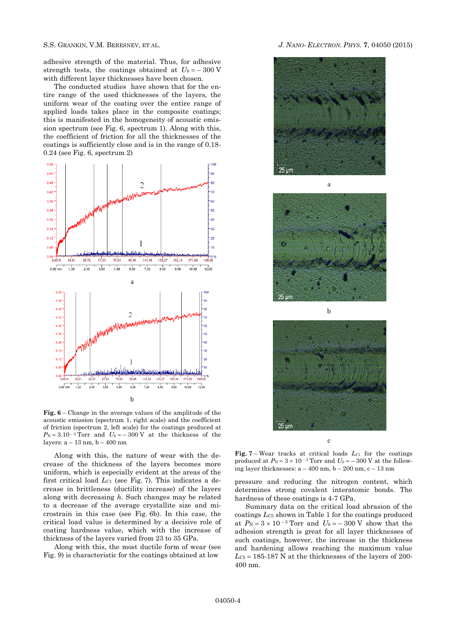adhesive strength of the material. Thus, for adhesive strength tests, the coatings obtained at  $U_b = -300$  V with different layer thicknesses have been chosen.

The conducted studies have shown that for the entire range of the used thicknesses of the layers, the uniform wear of the coating over the entire range of applied loads takes place in the composite coatings; this is manifested in the homogeneity of acoustic emission spectrum (see Fig. 6, spectrum 1). Along with this, the coefficient of friction for all the thicknesses of the coatings is sufficiently close and is in the range of 0.18- 0.24 (see Fig. 6, spectrum 2)



**Fig. 6** – Change in the average values of the amplitude of the acoustic emission (spectrum 1, right scale) and the coefficient of friction (spectrum 2, left scale) for the coatings produced at  $P_N = 3.10^{-3}$  Torr and  $U_b = -300$  V at the thickness of the layers:  $a - 13$  nm,  $b - 400$  nm

Along with this, the nature of wear with the decrease of the thickness of the layers becomes more uniform, which is especially evident at the areas of the first critical load *LC*<sup>1</sup> (see Fig. 7). This indicates a decrease in brittleness (ductility increase) of the layers along with decreasing *h*. Such changes may be related to a decrease of the average crystallite size and microstrain in this case (see Fig. 6b). In this case, the critical load value is determined by a decisive role of coating hardness value, which with the increase of thickness of the layers varied from 23 to 35 GPa.

Along with this, the most ductile form of wear (see Fig. 9) is characteristic for the coatings obtained at low

### S.S. GRANKIN, V.M. BERESNEV, ET AL. *J. NANO- ELECTRON. PHYS.* **[7](#page-0-2)**, [04050](#page-0-2) [\(2015\)](#page-0-2)







c

**Fig.** 7 – Wear tracks at critical loads  $L_{C1}$  for the coatings produced at  $P_N = 3 \times 10^{-3}$  Torr and  $U_b = -300$  V at the following layer thicknesses:  $a - 400$  nm,  $b - 200$  nm,  $c - 13$  nm

pressure and reducing the nitrogen content, which determines strong covalent interatomic bonds. The hardness of these coatings is 4-7 GPa.

Summary data on the critical load abrasion of the coatings *LC*<sup>5</sup> shown in Table 1 for the coatings produced at  $P_N = 3 \times 10^{-3}$  Torr and  $U_b = -300$  V show that the adhesion strength is great for all layer thicknesses of such coatings, however, the increase in the thickness and hardening allows reaching the maximum value  $Lc<sub>5</sub> = 185-187$  N at the thicknesses of the layers of 200-400 nm.